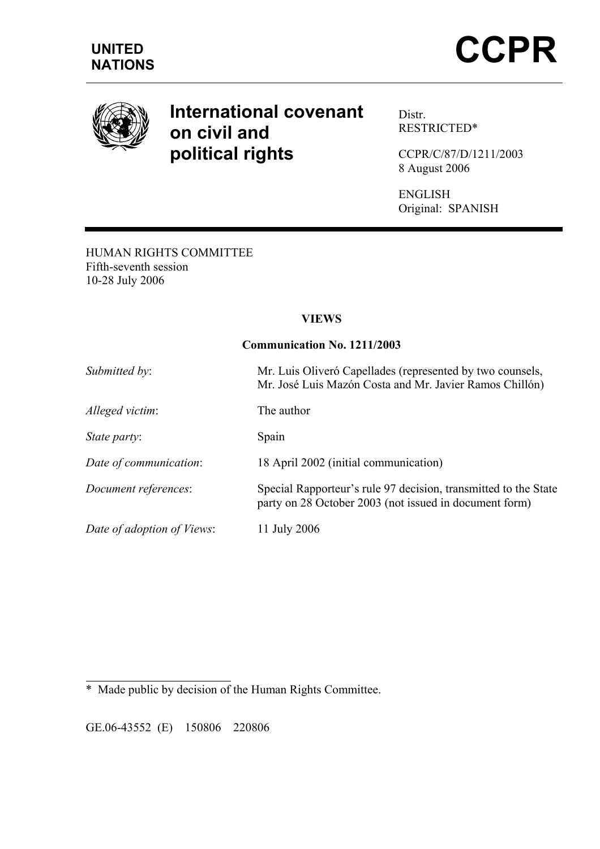

# **International covenant on civil and political rights**

Distr. RESTRICTED\*

CCPR/C/87/D/1211/2003 8 August 2006

ENGLISH Original: SPANISH

HUMAN RIGHTS COMMITTEE Fifth-seventh session 10-28 July 2006

#### **VIEWS**

#### **Communication No. 1211/2003**

| Submitted by:              | Mr. Luis Oliveró Capellades (represented by two counsels,<br>Mr. José Luis Mazón Costa and Mr. Javier Ramos Chillón)      |
|----------------------------|---------------------------------------------------------------------------------------------------------------------------|
| Alleged victim:            | The author                                                                                                                |
| <i>State party:</i>        | Spain                                                                                                                     |
| Date of communication:     | 18 April 2002 (initial communication)                                                                                     |
| Document references:       | Special Rapporteur's rule 97 decision, transmitted to the State<br>party on 28 October 2003 (not issued in document form) |
| Date of adoption of Views: | 11 July 2006                                                                                                              |

 $\overline{a}$ \* Made public by decision of the Human Rights Committee.

GE.06-43552 (E) 150806 220806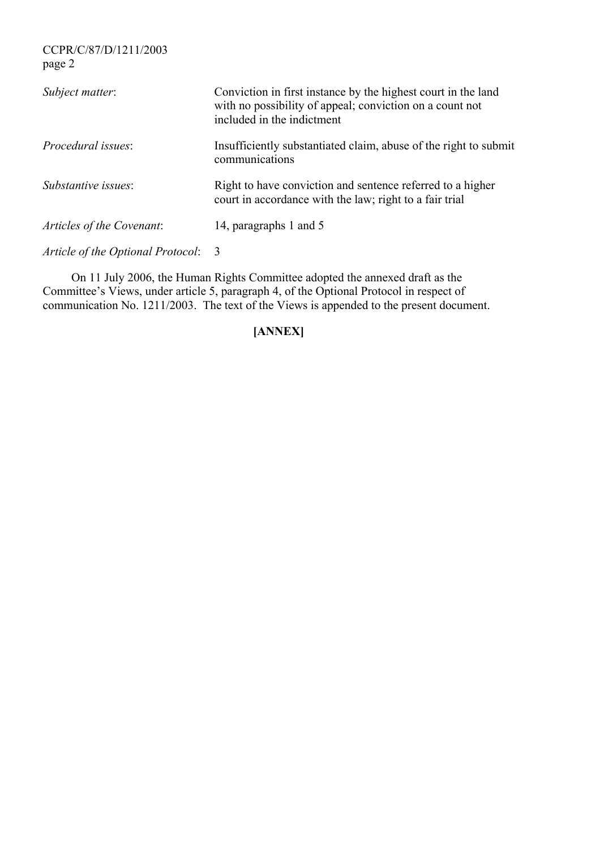CCPR/C/87/D/1211/2003 page 2

| Subject matter:                   | Conviction in first instance by the highest court in the land<br>with no possibility of appeal; conviction on a count not<br>included in the indictment |
|-----------------------------------|---------------------------------------------------------------------------------------------------------------------------------------------------------|
| <i>Procedural issues:</i>         | Insufficiently substantiated claim, abuse of the right to submit<br>communications                                                                      |
| Substantive issues:               | Right to have conviction and sentence referred to a higher<br>court in accordance with the law; right to a fair trial                                   |
| Articles of the Covenant:         | 14, paragraphs 1 and 5                                                                                                                                  |
| Article of the Optional Protocol: | -3                                                                                                                                                      |

 On 11 July 2006, the Human Rights Committee adopted the annexed draft as the Committee's Views, under article 5, paragraph 4, of the Optional Protocol in respect of communication No. 1211/2003. The text of the Views is appended to the present document.

# **[ANNEX]**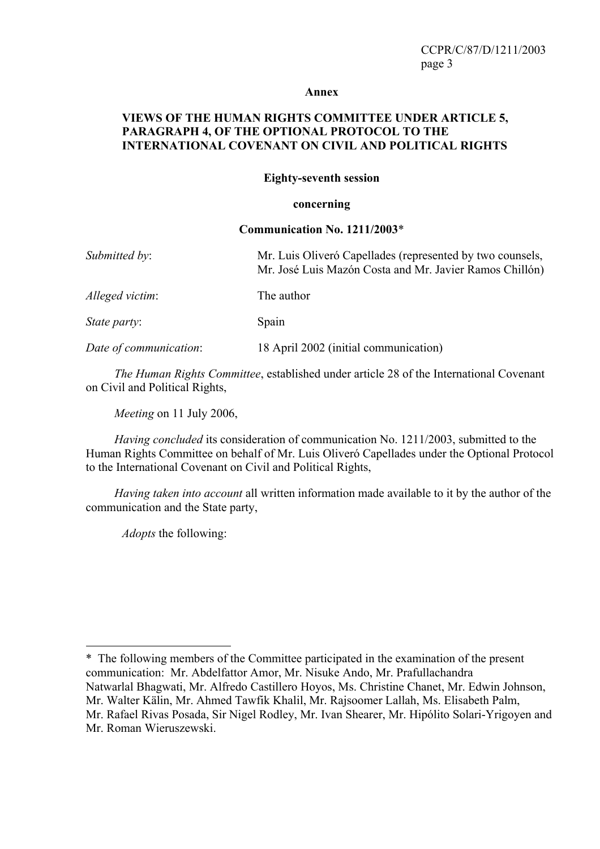#### **Annex**

#### **VIEWS OF THE HUMAN RIGHTS COMMITTEE UNDER ARTICLE 5, PARAGRAPH 4, OF THE OPTIONAL PROTOCOL TO THE INTERNATIONAL COVENANT ON CIVIL AND POLITICAL RIGHTS**

#### **Eighty-seventh session**

#### **concerning**

#### **Communication No. 1211/2003**\*

| Submitted by:          | Mr. Luis Oliveró Capellades (represented by two counsels,<br>Mr. José Luis Mazón Costa and Mr. Javier Ramos Chillón) |
|------------------------|----------------------------------------------------------------------------------------------------------------------|
| Alleged victim:        | The author                                                                                                           |
| <i>State party:</i>    | Spain                                                                                                                |
| Date of communication: | 18 April 2002 (initial communication)                                                                                |

*The Human Rights Committee*, established under article 28 of the International Covenant on Civil and Political Rights,

*Meeting* on 11 July 2006,

*Having concluded* its consideration of communication No. 1211/2003, submitted to the Human Rights Committee on behalf of Mr. Luis Oliveró Capellades under the Optional Protocol to the International Covenant on Civil and Political Rights,

*Having taken into account* all written information made available to it by the author of the communication and the State party,

*Adopts* the following:

 $\overline{a}$ 

<sup>\*</sup>The following members of the Committee participated in the examination of the present communication: Mr. Abdelfattor Amor, Mr. Nisuke Ando, Mr. Prafullachandra Natwarlal Bhagwati, Mr. Alfredo Castillero Hoyos, Ms. Christine Chanet, Mr. Edwin Johnson, Mr. Walter Kälin, Mr. Ahmed Tawfik Khalil, Mr. Rajsoomer Lallah, Ms. Elisabeth Palm, Mr. Rafael Rivas Posada, Sir Nigel Rodley, Mr. Ivan Shearer, Mr. Hipólito Solari-Yrigoyen and Mr. Roman Wieruszewski.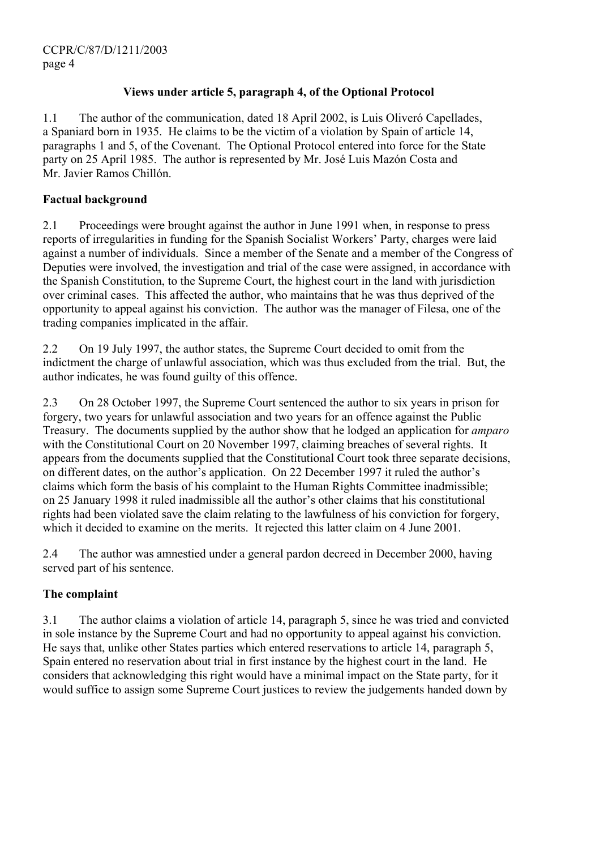# **Views under article 5, paragraph 4, of the Optional Protocol**

1.1 The author of the communication, dated 18 April 2002, is Luis Oliveró Capellades, a Spaniard born in 1935. He claims to be the victim of a violation by Spain of article 14, paragraphs 1 and 5, of the Covenant. The Optional Protocol entered into force for the State party on 25 April 1985. The author is represented by Mr. José Luis Mazón Costa and Mr. Javier Ramos Chillón.

# **Factual background**

2.1 Proceedings were brought against the author in June 1991 when, in response to press reports of irregularities in funding for the Spanish Socialist Workers' Party, charges were laid against a number of individuals. Since a member of the Senate and a member of the Congress of Deputies were involved, the investigation and trial of the case were assigned, in accordance with the Spanish Constitution, to the Supreme Court, the highest court in the land with jurisdiction over criminal cases. This affected the author, who maintains that he was thus deprived of the opportunity to appeal against his conviction. The author was the manager of Filesa, one of the trading companies implicated in the affair.

2.2 On 19 July 1997, the author states, the Supreme Court decided to omit from the indictment the charge of unlawful association, which was thus excluded from the trial. But, the author indicates, he was found guilty of this offence.

2.3 On 28 October 1997, the Supreme Court sentenced the author to six years in prison for forgery, two years for unlawful association and two years for an offence against the Public Treasury. The documents supplied by the author show that he lodged an application for *amparo* with the Constitutional Court on 20 November 1997, claiming breaches of several rights. It appears from the documents supplied that the Constitutional Court took three separate decisions, on different dates, on the author's application. On 22 December 1997 it ruled the author's claims which form the basis of his complaint to the Human Rights Committee inadmissible; on 25 January 1998 it ruled inadmissible all the author's other claims that his constitutional rights had been violated save the claim relating to the lawfulness of his conviction for forgery, which it decided to examine on the merits. It rejected this latter claim on 4 June 2001.

2.4 The author was amnestied under a general pardon decreed in December 2000, having served part of his sentence.

# **The complaint**

3.1 The author claims a violation of article 14, paragraph 5, since he was tried and convicted in sole instance by the Supreme Court and had no opportunity to appeal against his conviction. He says that, unlike other States parties which entered reservations to article 14, paragraph 5, Spain entered no reservation about trial in first instance by the highest court in the land. He considers that acknowledging this right would have a minimal impact on the State party, for it would suffice to assign some Supreme Court justices to review the judgements handed down by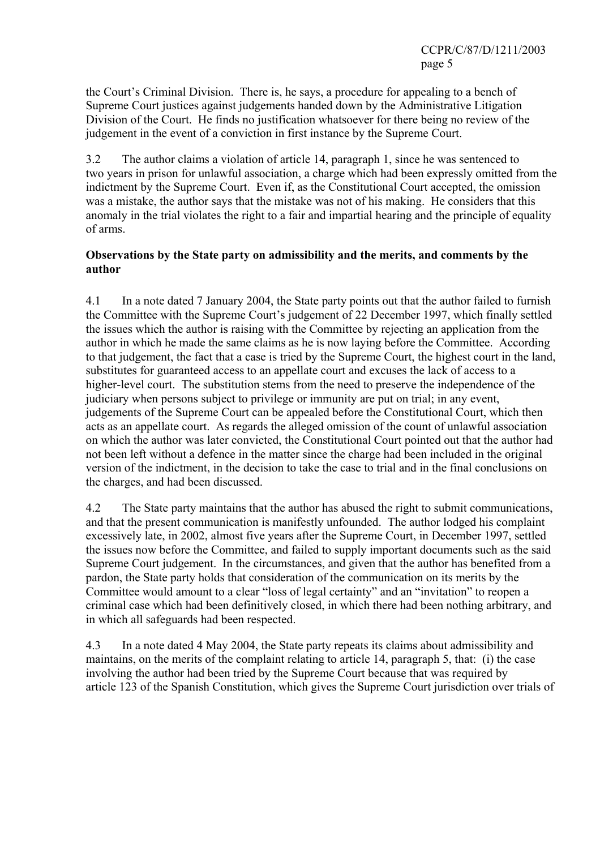the Court's Criminal Division. There is, he says, a procedure for appealing to a bench of Supreme Court justices against judgements handed down by the Administrative Litigation Division of the Court. He finds no justification whatsoever for there being no review of the judgement in the event of a conviction in first instance by the Supreme Court.

3.2 The author claims a violation of article 14, paragraph 1, since he was sentenced to two years in prison for unlawful association, a charge which had been expressly omitted from the indictment by the Supreme Court. Even if, as the Constitutional Court accepted, the omission was a mistake, the author says that the mistake was not of his making. He considers that this anomaly in the trial violates the right to a fair and impartial hearing and the principle of equality of arms.

#### **Observations by the State party on admissibility and the merits, and comments by the author**

4.1 In a note dated 7 January 2004, the State party points out that the author failed to furnish the Committee with the Supreme Court's judgement of 22 December 1997, which finally settled the issues which the author is raising with the Committee by rejecting an application from the author in which he made the same claims as he is now laying before the Committee. According to that judgement, the fact that a case is tried by the Supreme Court, the highest court in the land, substitutes for guaranteed access to an appellate court and excuses the lack of access to a higher-level court. The substitution stems from the need to preserve the independence of the judiciary when persons subject to privilege or immunity are put on trial; in any event, judgements of the Supreme Court can be appealed before the Constitutional Court, which then acts as an appellate court. As regards the alleged omission of the count of unlawful association on which the author was later convicted, the Constitutional Court pointed out that the author had not been left without a defence in the matter since the charge had been included in the original version of the indictment, in the decision to take the case to trial and in the final conclusions on the charges, and had been discussed.

4.2 The State party maintains that the author has abused the right to submit communications, and that the present communication is manifestly unfounded. The author lodged his complaint excessively late, in 2002, almost five years after the Supreme Court, in December 1997, settled the issues now before the Committee, and failed to supply important documents such as the said Supreme Court judgement. In the circumstances, and given that the author has benefited from a pardon, the State party holds that consideration of the communication on its merits by the Committee would amount to a clear "loss of legal certainty" and an "invitation" to reopen a criminal case which had been definitively closed, in which there had been nothing arbitrary, and in which all safeguards had been respected.

4.3 In a note dated 4 May 2004, the State party repeats its claims about admissibility and maintains, on the merits of the complaint relating to article 14, paragraph 5, that: (i) the case involving the author had been tried by the Supreme Court because that was required by article 123 of the Spanish Constitution, which gives the Supreme Court jurisdiction over trials of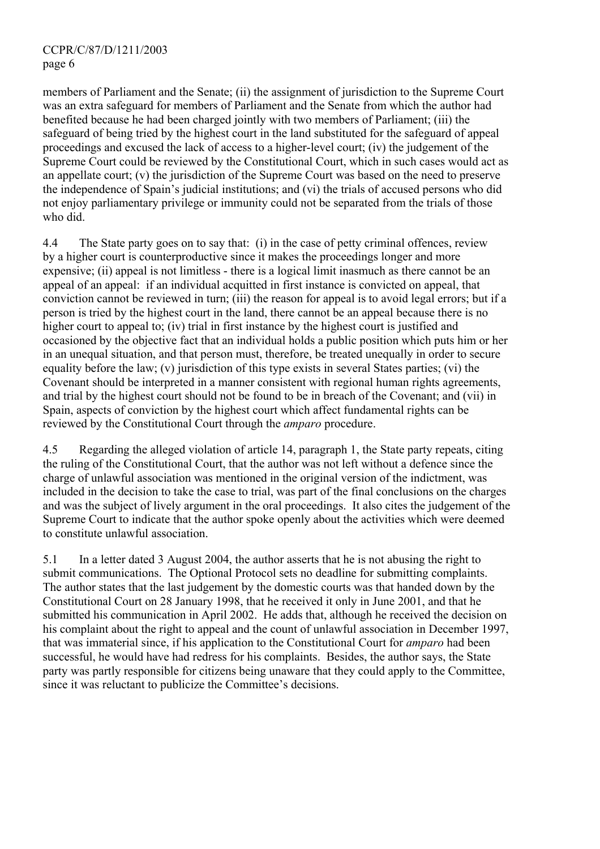### CCPR/C/87/D/1211/2003 page 6

members of Parliament and the Senate; (ii) the assignment of jurisdiction to the Supreme Court was an extra safeguard for members of Parliament and the Senate from which the author had benefited because he had been charged jointly with two members of Parliament; (iii) the safeguard of being tried by the highest court in the land substituted for the safeguard of appeal proceedings and excused the lack of access to a higher-level court; (iv) the judgement of the Supreme Court could be reviewed by the Constitutional Court, which in such cases would act as an appellate court; (v) the jurisdiction of the Supreme Court was based on the need to preserve the independence of Spain's judicial institutions; and (vi) the trials of accused persons who did not enjoy parliamentary privilege or immunity could not be separated from the trials of those who did.

4.4 The State party goes on to say that: (i) in the case of petty criminal offences, review by a higher court is counterproductive since it makes the proceedings longer and more expensive; (ii) appeal is not limitless - there is a logical limit inasmuch as there cannot be an appeal of an appeal: if an individual acquitted in first instance is convicted on appeal, that conviction cannot be reviewed in turn; (iii) the reason for appeal is to avoid legal errors; but if a person is tried by the highest court in the land, there cannot be an appeal because there is no higher court to appeal to; (iv) trial in first instance by the highest court is justified and occasioned by the objective fact that an individual holds a public position which puts him or her in an unequal situation, and that person must, therefore, be treated unequally in order to secure equality before the law; (v) jurisdiction of this type exists in several States parties; (vi) the Covenant should be interpreted in a manner consistent with regional human rights agreements, and trial by the highest court should not be found to be in breach of the Covenant; and (vii) in Spain, aspects of conviction by the highest court which affect fundamental rights can be reviewed by the Constitutional Court through the *amparo* procedure.

4.5 Regarding the alleged violation of article 14, paragraph 1, the State party repeats, citing the ruling of the Constitutional Court, that the author was not left without a defence since the charge of unlawful association was mentioned in the original version of the indictment, was included in the decision to take the case to trial, was part of the final conclusions on the charges and was the subject of lively argument in the oral proceedings. It also cites the judgement of the Supreme Court to indicate that the author spoke openly about the activities which were deemed to constitute unlawful association.

5.1 In a letter dated 3 August 2004, the author asserts that he is not abusing the right to submit communications. The Optional Protocol sets no deadline for submitting complaints. The author states that the last judgement by the domestic courts was that handed down by the Constitutional Court on 28 January 1998, that he received it only in June 2001, and that he submitted his communication in April 2002. He adds that, although he received the decision on his complaint about the right to appeal and the count of unlawful association in December 1997, that was immaterial since, if his application to the Constitutional Court for *amparo* had been successful, he would have had redress for his complaints. Besides, the author says, the State party was partly responsible for citizens being unaware that they could apply to the Committee, since it was reluctant to publicize the Committee's decisions.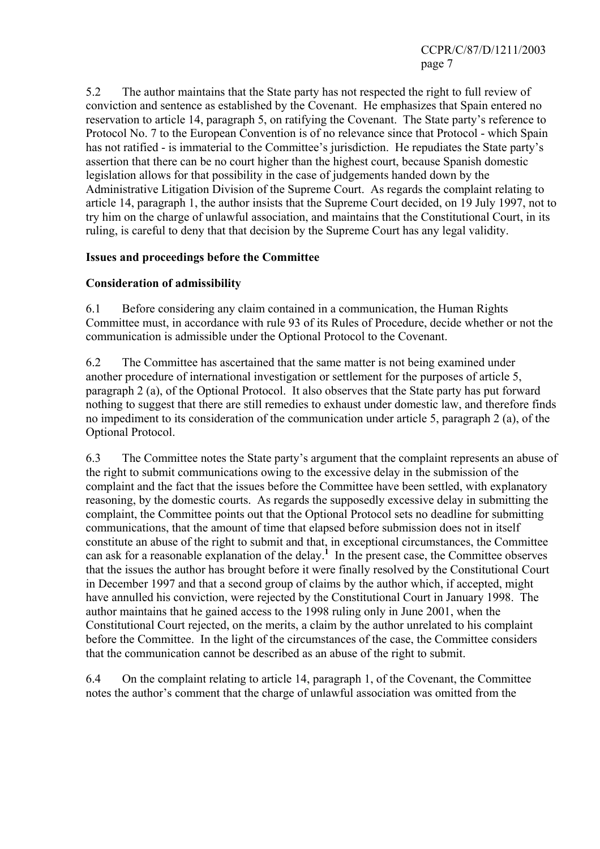5.2 The author maintains that the State party has not respected the right to full review of conviction and sentence as established by the Covenant. He emphasizes that Spain entered no reservation to article 14, paragraph 5, on ratifying the Covenant. The State party's reference to Protocol No. 7 to the European Convention is of no relevance since that Protocol - which Spain has not ratified - is immaterial to the Committee's jurisdiction. He repudiates the State party's assertion that there can be no court higher than the highest court, because Spanish domestic legislation allows for that possibility in the case of judgements handed down by the Administrative Litigation Division of the Supreme Court. As regards the complaint relating to article 14, paragraph 1, the author insists that the Supreme Court decided, on 19 July 1997, not to try him on the charge of unlawful association, and maintains that the Constitutional Court, in its ruling, is careful to deny that that decision by the Supreme Court has any legal validity.

# **Issues and proceedings before the Committee**

# **Consideration of admissibility**

6.1 Before considering any claim contained in a communication, the Human Rights Committee must, in accordance with rule 93 of its Rules of Procedure, decide whether or not the communication is admissible under the Optional Protocol to the Covenant.

6.2 The Committee has ascertained that the same matter is not being examined under another procedure of international investigation or settlement for the purposes of article 5, paragraph 2 (a), of the Optional Protocol. It also observes that the State party has put forward nothing to suggest that there are still remedies to exhaust under domestic law, and therefore finds no impediment to its consideration of the communication under article 5, paragraph 2 (a), of the Optional Protocol.

6.3 The Committee notes the State party's argument that the complaint represents an abuse of the right to submit communications owing to the excessive delay in the submission of the complaint and the fact that the issues before the Committee have been settled, with explanatory reasoning, by the domestic courts. As regards the supposedly excessive delay in submitting the complaint, the Committee points out that the Optional Protocol sets no deadline for submitting communications, that the amount of time that elapsed before submission does not in itself constitute an abuse of the right to submit and that, in exceptional circumstances, the Committee can ask for a reasonable explanation of the delay.<sup>1</sup> In the present case, the Committee observes that the issues the author has brought before it were finally resolved by the Constitutional Court in December 1997 and that a second group of claims by the author which, if accepted, might have annulled his conviction, were rejected by the Constitutional Court in January 1998. The author maintains that he gained access to the 1998 ruling only in June 2001, when the Constitutional Court rejected, on the merits, a claim by the author unrelated to his complaint before the Committee. In the light of the circumstances of the case, the Committee considers that the communication cannot be described as an abuse of the right to submit.

6.4 On the complaint relating to article 14, paragraph 1, of the Covenant, the Committee notes the author's comment that the charge of unlawful association was omitted from the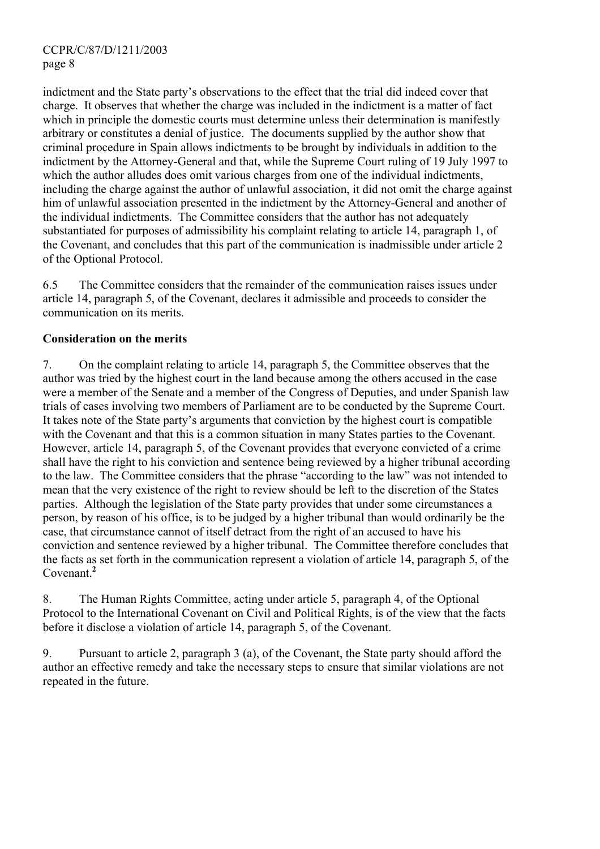indictment and the State party's observations to the effect that the trial did indeed cover that charge. It observes that whether the charge was included in the indictment is a matter of fact which in principle the domestic courts must determine unless their determination is manifestly arbitrary or constitutes a denial of justice. The documents supplied by the author show that criminal procedure in Spain allows indictments to be brought by individuals in addition to the indictment by the Attorney-General and that, while the Supreme Court ruling of 19 July 1997 to which the author alludes does omit various charges from one of the individual indictments, including the charge against the author of unlawful association, it did not omit the charge against him of unlawful association presented in the indictment by the Attorney-General and another of the individual indictments. The Committee considers that the author has not adequately substantiated for purposes of admissibility his complaint relating to article 14, paragraph 1, of the Covenant, and concludes that this part of the communication is inadmissible under article 2 of the Optional Protocol.

6.5 The Committee considers that the remainder of the communication raises issues under article 14, paragraph 5, of the Covenant, declares it admissible and proceeds to consider the communication on its merits.

# **Consideration on the merits**

7. On the complaint relating to article 14, paragraph 5, the Committee observes that the author was tried by the highest court in the land because among the others accused in the case were a member of the Senate and a member of the Congress of Deputies, and under Spanish law trials of cases involving two members of Parliament are to be conducted by the Supreme Court. It takes note of the State party's arguments that conviction by the highest court is compatible with the Covenant and that this is a common situation in many States parties to the Covenant. However, article 14, paragraph 5, of the Covenant provides that everyone convicted of a crime shall have the right to his conviction and sentence being reviewed by a higher tribunal according to the law. The Committee considers that the phrase "according to the law" was not intended to mean that the very existence of the right to review should be left to the discretion of the States parties. Although the legislation of the State party provides that under some circumstances a person, by reason of his office, is to be judged by a higher tribunal than would ordinarily be the case, that circumstance cannot of itself detract from the right of an accused to have his conviction and sentence reviewed by a higher tribunal. The Committee therefore concludes that the facts as set forth in the communication represent a violation of article 14, paragraph 5, of the Covenant.**<sup>2</sup>**

8. The Human Rights Committee, acting under article 5, paragraph 4, of the Optional Protocol to the International Covenant on Civil and Political Rights, is of the view that the facts before it disclose a violation of article 14, paragraph 5, of the Covenant.

9. Pursuant to article 2, paragraph 3 (a), of the Covenant, the State party should afford the author an effective remedy and take the necessary steps to ensure that similar violations are not repeated in the future.